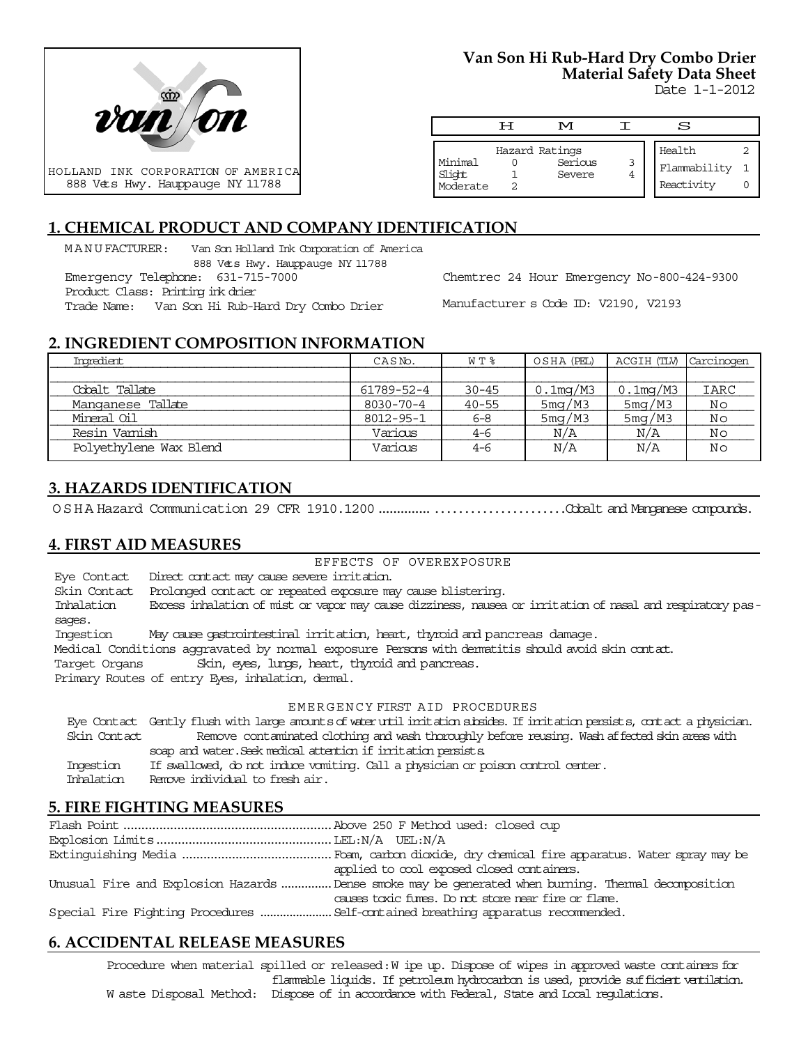

#### **Van Son Hi Rub-Hard Dry Combo Drier Material Safety Data Sheet** Date 1-1-2012

| M |                                     | S |                                      |
|---|-------------------------------------|---|--------------------------------------|
|   |                                     |   |                                      |
|   |                                     |   |                                      |
|   |                                     |   |                                      |
|   |                                     |   |                                      |
|   |                                     |   |                                      |
|   | Hazard Ratings<br>Serious<br>Severe |   | Health<br>Flammability<br>Reactivity |

# **1. CHEMICAL PRODUCT AND COMPANY IDENTIFICATION**

MANUFACTURER: Van Son Holland Ink Corporation of America

888 Vets Hwy. Hauppauge NY 11788 Emergency Telephone: 631-715-7000 Product Class: Printing ink drier

Trade Name: Van Son Hi Rub-Hard Dry Combo Drier

Chemtrec 24 Hour Emergency No-800-424-9300

Manufacturer s Code ID: V2190, V2193

# **2. INGREDIENT COMPOSITION INFORMATION**

| Ingredient             | CASN <sub>o</sub> . | W T %     | OSHA (PEL)  | ACGIH (TLV) | Carcinogen |
|------------------------|---------------------|-----------|-------------|-------------|------------|
|                        |                     |           |             |             |            |
| Cobalt Tallate         | 61789-52-4          | $30 - 45$ | $0.1$ mg/M3 | $0.1$ mg/M3 | IARC       |
| Manganese Tallate      | 8030-70-4           | $40 - 55$ | 5mg/M3      | 5mg/M3      | No         |
| Mineral Oil            | 8012-95-1           | $6 - 8$   | 5mg/M3      | 5mg/M3      | No         |
| Resin Vamish           | Various             | 4-6       | N/A         | N/A         | Νo         |
| Polyethylene Wax Blend | Various             | $4 - 6$   | N/A         | N/A         | Nο         |

# **3. HAZARDS IDENTIFICATION**

OSHA Hazard Communication 29 CFR 1910.1200....................................Cobalt and Manganese compounds.

## **4. FIRST AID MEASURES**

#### EFFECTS OF OVEREXPOSURE

Eye Contact Direct contact may cause severe irritation. Skin Contact Prolonged contact or repeated exposure may cause blistering. Inhalation Excess inhalation of mist or vapor may cause dizziness, nausea or irritation of nasal and respiratory passages. Ingestion May cause gastrointestinal irritation, heart, thyroid and pancreas damage. Medical Conditions aggravated by normal exposure Persons with dermatitis should avoid skin contact. Target Organs Skin, eyes, lungs, heart, thyroid and pancreas. Primary Routes of entry Eyes, inhalation, dermal. EMERGENCY FIRST AID PROCEDURES Eye Contact Gently flush with large amounts of water until irritation subsides. If irritation persists, contact a physician.

 Skin Contact Remove contaminated clothing and wash thoroughly before reusing. Wash affected skin areas with soap and water. Seek medical attention if irritation persists. Ingestion If swallowed, do not induce vomiting. Call a physician or poison control center.

Inhalation Remove individual to fresh air.

## **5. FIRE FIGHTING MEASURES**

| applied to cool exposed closed containers.                                                          |
|-----------------------------------------------------------------------------------------------------|
| Unusual Fire and Explosion Hazards Dense smoke may be generated when burning. Thermal decomposition |
| causes toxic fures. Do not store near fire or flare.                                                |
|                                                                                                     |

# **6. ACCIDENTAL RELEASE MEASURES**

Procedure when material spilled or released: W ipe up. Dispose of wipes in approved waste containers for flammable liquids. If petroleum hydrocarbon is used, provide sufficient ventilation. W aste Disposal Method: Dispose of in accordance with Federal, State and Local regulations.